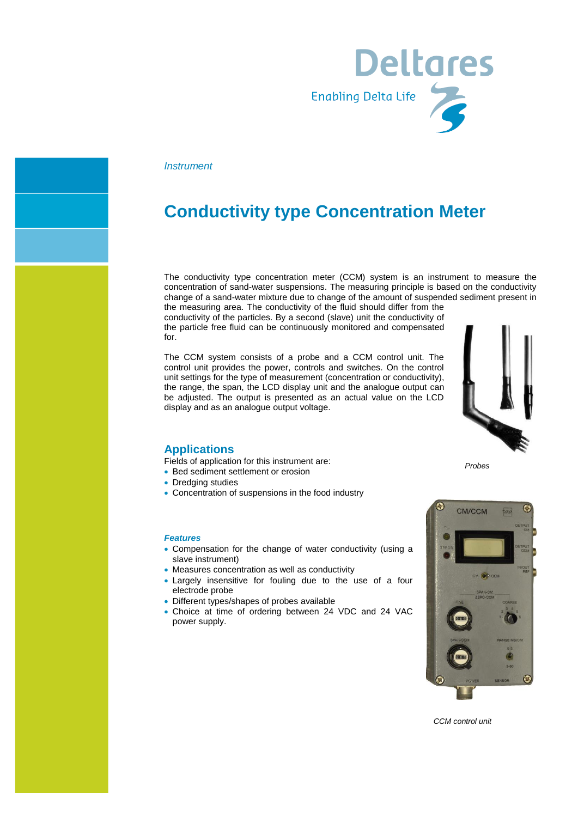

### *Instrument*

## **Conductivity type Concentration Meter**

The conductivity type concentration meter (CCM) system is an instrument to measure the concentration of sand-water suspensions. The measuring principle is based on the conductivity change of a sand-water mixture due to change of the amount of suspended sediment present in

the measuring area. The conductivity of the fluid should differ from the conductivity of the particles. By a second (slave) unit the conductivity of the particle free fluid can be continuously monitored and compensated for.

The CCM system consists of a probe and a CCM control unit. The control unit provides the power, controls and switches. On the control unit settings for the type of measurement (concentration or conductivity), the range, the span, the LCD display unit and the analogue output can be adjusted. The output is presented as an actual value on the LCD display and as an analogue output voltage.



### **Applications**

Fields of application for this instrument are:

- Bed sediment settlement or erosion
- Dredging studies
- Concentration of suspensions in the food industry

#### *Features*

- Compensation for the change of water conductivity (using a slave instrument)
- Measures concentration as well as conductivity
- Largely insensitive for fouling due to the use of a four electrode probe
- Different types/shapes of probes available
- Choice at time of ordering between 24 VDC and 24 VAC power supply.



*CCM control unit*